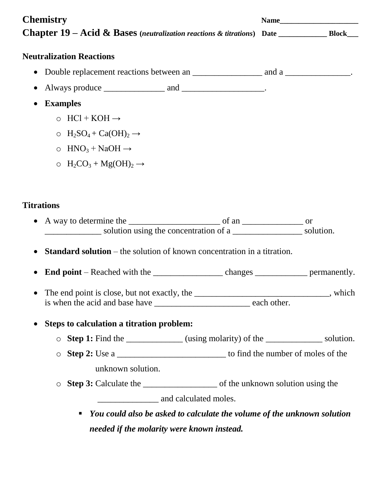| <b>Chemistry</b>                                                                      |  |  |  |
|---------------------------------------------------------------------------------------|--|--|--|
|                                                                                       |  |  |  |
| <b>Neutralization Reactions</b>                                                       |  |  |  |
| $\bullet$                                                                             |  |  |  |
| $\bullet$                                                                             |  |  |  |
| <b>Examples</b><br>$\bullet$                                                          |  |  |  |
| $\circ$ HCl + KOH $\rightarrow$                                                       |  |  |  |
| $\circ$ H <sub>2</sub> SO <sub>4</sub> + Ca(OH) <sub>2</sub> $\rightarrow$            |  |  |  |
| $\circ$ HNO <sub>3</sub> + NaOH $\rightarrow$                                         |  |  |  |
| $\circ$ H <sub>2</sub> CO <sub>3</sub> + Mg(OH) <sub>2</sub> $\rightarrow$            |  |  |  |
|                                                                                       |  |  |  |
|                                                                                       |  |  |  |
| <b>Titrations</b>                                                                     |  |  |  |
|                                                                                       |  |  |  |
| <b>Standard solution</b> – the solution of known concentration in a titration.        |  |  |  |
| $\bullet$                                                                             |  |  |  |
| The end point is close, but not exactly, the _______________________________, which   |  |  |  |
|                                                                                       |  |  |  |
| Steps to calculation a titration problem:<br>$\bullet$                                |  |  |  |
| $\circ$ Step 1: Find the ____________ (using molarity) of the _____________ solution. |  |  |  |
| $\bigcirc$                                                                            |  |  |  |
| unknown solution.                                                                     |  |  |  |
| $\bigcirc$                                                                            |  |  |  |
|                                                                                       |  |  |  |
|                                                                                       |  |  |  |
| You could also be asked to calculate the volume of the unknown solution<br>п          |  |  |  |
| needed if the molarity were known instead.                                            |  |  |  |
|                                                                                       |  |  |  |